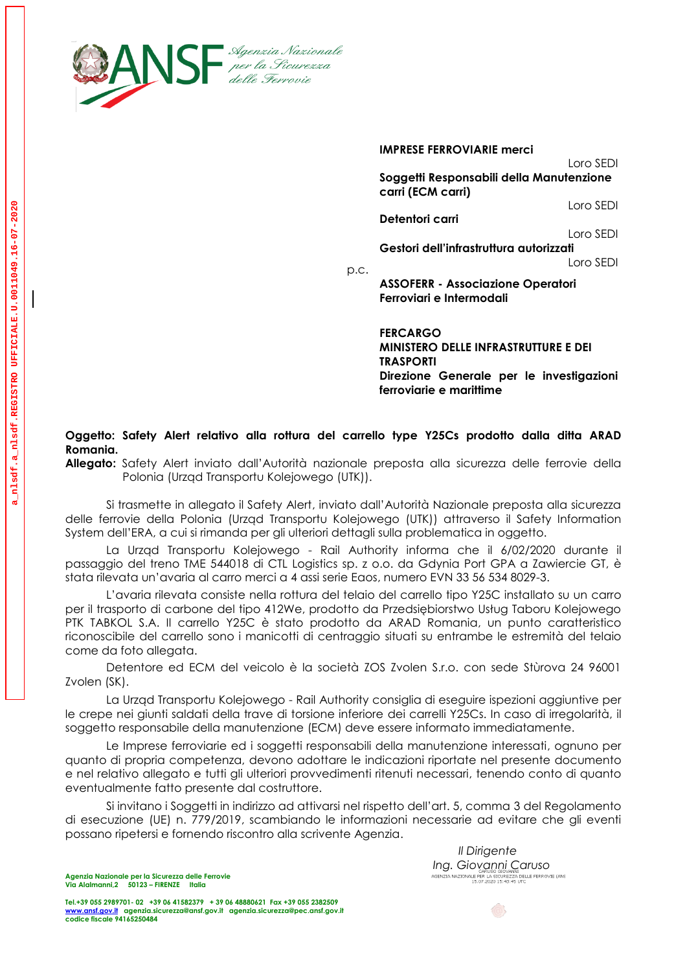

**IMPRESE FERROVIARIE merci** Loro SEDI **Soggetti Responsabili della Manutenzione carri (ECM carri)** Loro SEDI **Detentori carri**  Loro SEDI **Gestori dell'infrastruttura autorizzati** Loro SEDI

p.c.

**ASSOFERR - Associazione Operatori Ferroviari e Intermodali**

**FERCARGO MINISTERO DELLE INFRASTRUTTURE E DEI TRASPORTI Direzione Generale per le investigazioni ferroviarie e marittime**

## **Oggetto: Safety Alert relativo alla rottura del carrello type Y25Cs prodotto dalla ditta ARAD Romania.**

**Allegato:** Safety Alert inviato dall'Autorità nazionale preposta alla sicurezza delle ferrovie della Polonia (Urząd Transportu Kolejowego (UTK)).

Si trasmette in allegato il Safety Alert, inviato dall'Autorità Nazionale preposta alla sicurezza delle ferrovie della Polonia (Urząd Transportu Kolejowego (UTK)) attraverso il Safety Information System dell'ERA, a cui si rimanda per gli ulteriori dettagli sulla problematica in oggetto.

La Urząd Transportu Kolejowego - Rail Authority informa che il 6/02/2020 durante il passaggio del treno TME 544018 di CTL Logistics sp. z o.o. da Gdynia Port GPA a Zawiercie GT, è stata rilevata un'avaria al carro merci a 4 assi serie Eaos, numero EVN 33 56 534 8029-3.

L'avaria rilevata consiste nella rottura del telaio del carrello tipo Y25C installato su un carro per il trasporto di carbone del tipo 412We, prodotto da Przedsiębiorstwo Usług Taboru Kolejowego PTK TABKOL S.A. Il carrello Y25C è stato prodotto da ARAD Romania, un punto caratteristico riconoscibile del carrello sono i manicotti di centraggio situati su entrambe le estremità del telaio come da foto allegata.

Detentore ed ECM del veicolo è la società ZOS Zvolen S.r.o. con sede Stùrova 24 96001 Zvolen (SK).

La Urząd Transportu Kolejowego - Rail Authority consiglia di eseguire ispezioni aggiuntive per le crepe nei giunti saldati della trave di torsione inferiore dei carrelli Y25Cs. In caso di irregolarità, il soggetto responsabile della manutenzione (ECM) deve essere informato immediatamente.

Le Imprese ferroviarie ed i soggetti responsabili della manutenzione interessati, ognuno per quanto di propria competenza, devono adottare le indicazioni riportate nel presente documento e nel relativo allegato e tutti gli ulteriori provvedimenti ritenuti necessari, tenendo conto di quanto eventualmente fatto presente dal costruttore.

Si invitano i Soggetti in indirizzo ad attivarsi nel rispetto dell'art. 5, comma 3 del Regolamento di esecuzione (UE) n. 779/2019, scambiando le informazioni necessarie ad evitare che gli eventi possano ripetersi e fornendo riscontro alla scrivente Agenzia.

> *Il Dirigente Ing. Giovanni Caruso Giovanni* **Caruso**<br>Agenzia Nazionale per la sicurezza delle ferrovie (ans<br>15.07.2020 15:43:45 utc

> > $\circledcirc$

**Agenzia Nazionale per la Sicurezza delle Ferrovie Via Alalmanni,2 50123 – FIRENZE Italia**

**Tel.+39 055 2989701- 02 +39 06 41582379 + 39 06 48880621 Fax +39 055 2382509 [www.ansf.gov.it](http://www.ansf.gov.it/) [agenzia.sicurezza@ansf.gov.it](mailto:agenzia.sicurezza@ansf.gov.it) agenzia.sicurezza@pec.ansf.gov.it codice fiscale 94165250484** 



 $\mathbf{d}$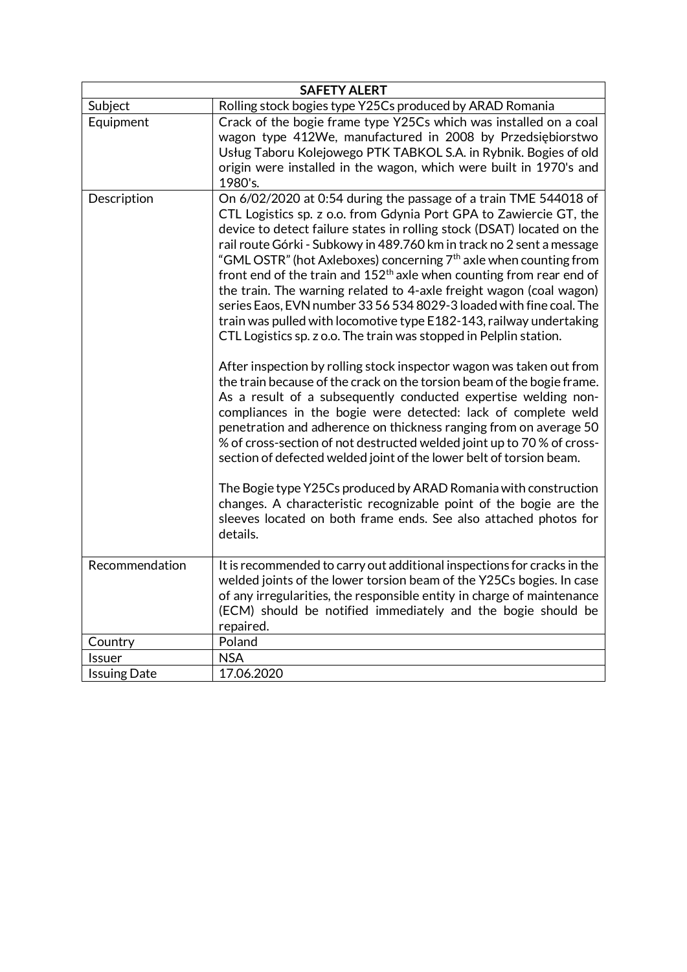| <b>SAFETY ALERT</b> |                                                                                                                                                                                                                                                                                                                                                                                                                                                                                                                                                                                                                                                                                                                                                                                                                                                                                                                                                                                                                                                                                                                                                                                                                                                                                                                                                                                                                                                                                    |
|---------------------|------------------------------------------------------------------------------------------------------------------------------------------------------------------------------------------------------------------------------------------------------------------------------------------------------------------------------------------------------------------------------------------------------------------------------------------------------------------------------------------------------------------------------------------------------------------------------------------------------------------------------------------------------------------------------------------------------------------------------------------------------------------------------------------------------------------------------------------------------------------------------------------------------------------------------------------------------------------------------------------------------------------------------------------------------------------------------------------------------------------------------------------------------------------------------------------------------------------------------------------------------------------------------------------------------------------------------------------------------------------------------------------------------------------------------------------------------------------------------------|
| Subject             | Rolling stock bogies type Y25Cs produced by ARAD Romania                                                                                                                                                                                                                                                                                                                                                                                                                                                                                                                                                                                                                                                                                                                                                                                                                                                                                                                                                                                                                                                                                                                                                                                                                                                                                                                                                                                                                           |
| Equipment           | Crack of the bogie frame type Y25Cs which was installed on a coal<br>wagon type 412We, manufactured in 2008 by Przedsiębiorstwo<br>Usług Taboru Kolejowego PTK TABKOL S.A. in Rybnik. Bogies of old<br>origin were installed in the wagon, which were built in 1970's and<br>1980's.                                                                                                                                                                                                                                                                                                                                                                                                                                                                                                                                                                                                                                                                                                                                                                                                                                                                                                                                                                                                                                                                                                                                                                                               |
| Description         | On 6/02/2020 at 0:54 during the passage of a train TME 544018 of<br>CTL Logistics sp. z o.o. from Gdynia Port GPA to Zawiercie GT, the<br>device to detect failure states in rolling stock (DSAT) located on the<br>rail route Górki - Subkowy in 489.760 km in track no 2 sent a message<br>"GML OSTR" (hot Axleboxes) concerning 7 <sup>th</sup> axle when counting from<br>front end of the train and $152th$ axle when counting from rear end of<br>the train. The warning related to 4-axle freight wagon (coal wagon)<br>series Eaos, EVN number 33 56 534 8029-3 loaded with fine coal. The<br>train was pulled with locomotive type E182-143, railway undertaking<br>CTL Logistics sp. z o.o. The train was stopped in Pelplin station.<br>After inspection by rolling stock inspector wagon was taken out from<br>the train because of the crack on the torsion beam of the bogie frame.<br>As a result of a subsequently conducted expertise welding non-<br>compliances in the bogie were detected: lack of complete weld<br>penetration and adherence on thickness ranging from on average 50<br>% of cross-section of not destructed welded joint up to 70 % of cross-<br>section of defected welded joint of the lower belt of torsion beam.<br>The Bogie type Y25Cs produced by ARAD Romania with construction<br>changes. A characteristic recognizable point of the bogie are the<br>sleeves located on both frame ends. See also attached photos for<br>details. |
| Recommendation      | It is recommended to carry out additional inspections for cracks in the<br>welded joints of the lower torsion beam of the Y25Cs bogies. In case<br>of any irregularities, the responsible entity in charge of maintenance<br>(ECM) should be notified immediately and the bogie should be<br>repaired.                                                                                                                                                                                                                                                                                                                                                                                                                                                                                                                                                                                                                                                                                                                                                                                                                                                                                                                                                                                                                                                                                                                                                                             |
| Country             | Poland                                                                                                                                                                                                                                                                                                                                                                                                                                                                                                                                                                                                                                                                                                                                                                                                                                                                                                                                                                                                                                                                                                                                                                                                                                                                                                                                                                                                                                                                             |
| Issuer              | <b>NSA</b>                                                                                                                                                                                                                                                                                                                                                                                                                                                                                                                                                                                                                                                                                                                                                                                                                                                                                                                                                                                                                                                                                                                                                                                                                                                                                                                                                                                                                                                                         |
| <b>Issuing Date</b> | 17.06.2020                                                                                                                                                                                                                                                                                                                                                                                                                                                                                                                                                                                                                                                                                                                                                                                                                                                                                                                                                                                                                                                                                                                                                                                                                                                                                                                                                                                                                                                                         |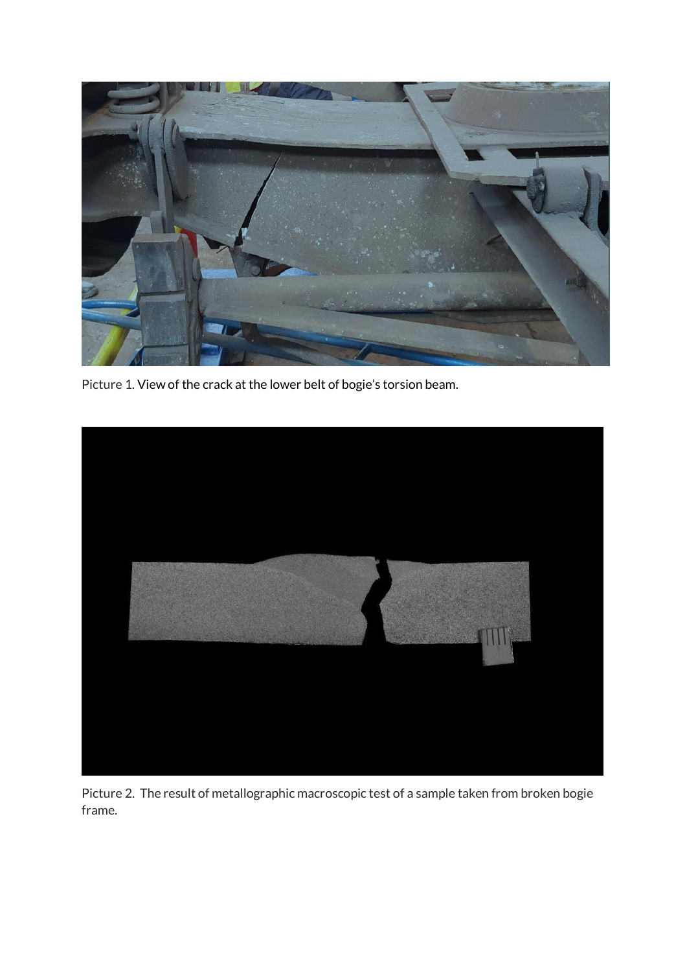

Picture 1. View of the crack at the lower belt of bogie's torsion beam.



Picture 2. The result of metallographic macroscopic test of a sample taken from broken bogie frame.